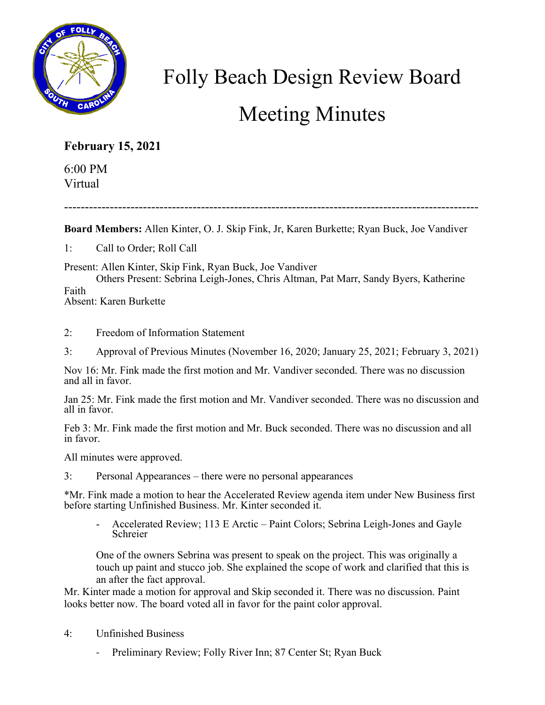

## Folly Beach Design Review Board Meeting Minutes

## **February 15, 2021**

6:00 PM Virtual

----------------------------------------------------------------------------------------------------

**Board Members:** Allen Kinter, O. J. Skip Fink, Jr, Karen Burkette; Ryan Buck, Joe Vandiver

1: Call to Order; Roll Call

Present: Allen Kinter, Skip Fink, Ryan Buck, Joe Vandiver

Others Present: Sebrina Leigh-Jones, Chris Altman, Pat Marr, Sandy Byers, Katherine Faith Absent: Karen Burkette

- 2: Freedom of Information Statement
- 3: Approval of Previous Minutes (November 16, 2020; January 25, 2021; February 3, 2021)

Nov 16: Mr. Fink made the first motion and Mr. Vandiver seconded. There was no discussion and all in favor.

Jan 25: Mr. Fink made the first motion and Mr. Vandiver seconded. There was no discussion and all in favor.

Feb 3: Mr. Fink made the first motion and Mr. Buck seconded. There was no discussion and all in favor.

All minutes were approved.

3: Personal Appearances – there were no personal appearances

\*Mr. Fink made a motion to hear the Accelerated Review agenda item under New Business first before starting Unfinished Business. Mr. Kinter seconded it.

Accelerated Review; 113 E Arctic – Paint Colors; Sebrina Leigh-Jones and Gayle Schreier

One of the owners Sebrina was present to speak on the project. This was originally a touch up paint and stucco job. She explained the scope of work and clarified that this is an after the fact approval.

Mr. Kinter made a motion for approval and Skip seconded it. There was no discussion. Paint looks better now. The board voted all in favor for the paint color approval.

- 4: Unfinished Business
	- Preliminary Review; Folly River Inn; 87 Center St; Ryan Buck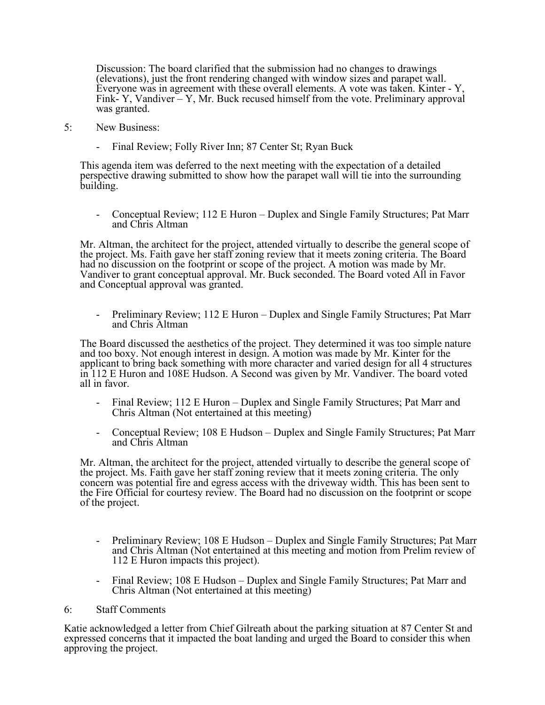Discussion: The board clarified that the submission had no changes to drawings (elevations), just the front rendering changed with window sizes and parapet wall. Everyone was in agreement with these overall elements. A vote was taken. Kinter - Y, Fink- Y, Vandiver – Y, Mr. Buck recused himself from the vote. Preliminary approval was granted.

- 5: New Business:
	- Final Review; Folly River Inn; 87 Center St; Ryan Buck

This agenda item was deferred to the next meeting with the expectation of a detailed perspective drawing submitted to show how the parapet wall will tie into the surrounding building.

- Conceptual Review; 112 E Huron – Duplex and Single Family Structures; Pat Marr and Chris Altman

Mr. Altman, the architect for the project, attended virtually to describe the general scope of the project. Ms. Faith gave her staff zoning review that it meets zoning criteria. The Board had no discussion on the footprint or scope of the project. A motion was made by Mr. Vandiver to grant conceptual approval. Mr. Buck seconded. The Board voted All in Favor and Conceptual approval was granted.

- Preliminary Review; 112 E Huron – Duplex and Single Family Structures; Pat Marr and Chris Altman

The Board discussed the aesthetics of the project. They determined it was too simple nature and too boxy. Not enough interest in design. A motion was made by Mr. Kinter for the applicant to bring back something with more character and varied design for all 4 structures in 112 E Huron and 108E Hudson. A Second was given by Mr. Vandiver. The board voted all in favor.

- Final Review; 112 E Huron Duplex and Single Family Structures; Pat Marr and Chris Altman (Not entertained at this meeting)
- Conceptual Review; 108 E Hudson Duplex and Single Family Structures; Pat Marr and Chris Altman

Mr. Altman, the architect for the project, attended virtually to describe the general scope of the project. Ms. Faith gave her staff zoning review that it meets zoning criteria. The only concern was potential fire and egress access with the driveway width. This has been sent to the Fire Official for courtesy review. The Board had no discussion on the footprint or scope of the project.

- Preliminary Review; 108 E Hudson Duplex and Single Family Structures; Pat Marr and Chris Altman (Not entertained at this meeting and motion from Prelim review of 112 E Huron impacts this project).
- Final Review; 108 E Hudson Duplex and Single Family Structures; Pat Marr and Chris Altman (Not entertained at this meeting)

## 6: Staff Comments

Katie acknowledged a letter from Chief Gilreath about the parking situation at 87 Center St and expressed concerns that it impacted the boat landing and urged the Board to consider this when approving the project.